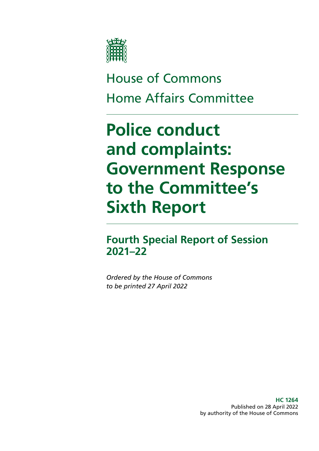

# House of Commons Home Affairs Committee

# **Police conduct and complaints: Government Response to the Committee's Sixth Report**

**Fourth Special Report of Session 2021–22**

*Ordered by the House of Commons to be printed 27 April 2022*

> **HC 1264** Published on 28 April 2022 by authority of the House of Commons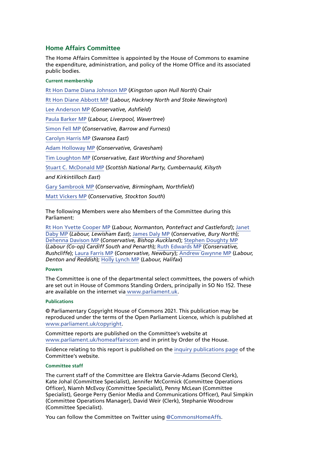# **Home Affairs Committee**

The Home Affairs Committee is appointed by the House of Commons to examine the expenditure, administration, and policy of the Home Office and its associated public bodies.

#### **Current membership**

[Rt Hon Dame Diana Johnson MP](https://members.parliament.uk/member/1533/contact) (*Kingston upon Hull North*) Chair [Rt Hon Diane Abbott MP](https://members.parliament.uk/member/172/contact) (*Labour, Hackney North and Stoke Newington*) [Lee Anderson MP](https://members.parliament.uk/member/4743/contact) (*Conservative, Ashfield*) [Paula Barker MP](https://members.parliament.uk/member/4828/contact) (*Labour, Liverpool, Wavertree*) [Simon Fell MP](https://members.parliament.uk/member/4744/contact) (*Conservative, Barrow and Furness*) [Carolyn Harris MP](https://members.parliament.uk/member/4480/contact) (*Swansea East*) [Adam Holloway MP](https://members.parliament.uk/member/1522/contact) (*Conservative, Gravesham*) [Tim Loughton MP](https://www.parliament.uk/biographies/commons/tim-loughton/114) (*Conservative, East Worthing and Shoreham*) [Stuart C. McDonald MP](https://www.parliament.uk/biographies/commons/stuart-c.-mcdonald/4393) (*Scottish National Party, Cumbernauld, Kilsyth and Kirkintilloch East*) [Gary Sambrook MP](https://members.parliament.uk/member/4760/contact) (*Conservative, Birmingham, Northfield*) [Matt Vickers MP](https://members.parliament.uk/member/4844/contact) (*Conservative, Stockton South*)

The following Members were also Members of the Committee during this Parliament:

[Rt Hon Yvette Cooper MP](https://www.parliament.uk/biographies/commons/yvette-cooper/420) (*Labour, Normanton, Pontefract and Castleford*); [Janet](https://members.parliament.uk/member/4698/contact)  [Daby MP](https://members.parliament.uk/member/4698/contact) (*Labour, Lewisham East*); [James Daly MP](https://members.parliament.uk/member/4854/contact) (*Conservative, Bury North*); [Dehenna Davison MP](https://members.parliament.uk/member/4737/contact) (*Conservative, Bishop Auckland*); [Stephen Doughty MP](https://members.parliament.uk/member/4264/contact) (*Labour (Co-op) Cardiff South and Penarth*); [Ruth Edwards MP](https://members.parliament.uk/member/4808/contact) (*Conservative, Rushcliffe*); [Laura Farris MP](https://members.parliament.uk/member/4826/contact) (*Conservative, Newbury*); [Andrew Gwynne MP](https://members.parliament.uk/member/1506/contact) (*Labour, Denton and Reddish*); [Holly Lynch MP](https://members.parliament.uk/member/4472/contact) (*Labour, Halifax*)

#### **Powers**

The Committee is one of the departmental select committees, the powers of which are set out in House of Commons Standing Orders, principally in SO No 152. These are available on the internet via [www.parliament.uk.](https://www.parliament.uk/)

#### **Publications**

© Parliamentary Copyright House of Commons 2021. This publication may be reproduced under the terms of the Open Parliament Licence, which is published at [www.parliament.uk/copyright](https://www.parliament.uk/site-information/copyright-parliament/).

Committee reports are published on the Committee's website at [www.parliament.uk/homeaffairscom](https://www.parliament.uk/business/committees/committees-a-z/commons-select/home-affairs-committee/) and in print by Order of the House.

Evidence relating to this report is published on the [inquiry publications page](https://committees.parliament.uk/work/495/police-conduct-and-complaints/publications/) of the Committee's website.

#### **Committee staff**

The current staff of the Committee are Elektra Garvie-Adams (Second Clerk), Kate Johal (Committee Specialist), Jennifer McCormick (Committee Operations Officer), Niamh McEvoy (Committee Specialist), Penny McLean (Committee Specialist), George Perry (Senior Media and Communications Officer), Paul Simpkin (Committee Operations Manager), David Weir (Clerk), Stephanie Woodrow (Committee Specialist).

You can follow the Committee on Twitter using [@CommonsHomeAffs.](https://twitter.com/CommonsHomeAffs)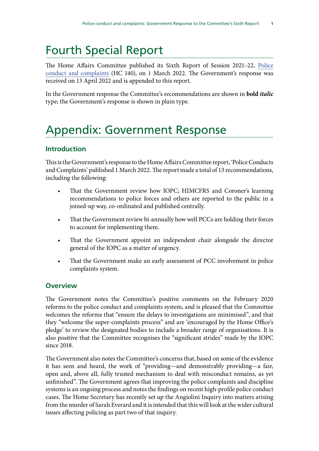# Fourth Special Report

The Home Affairs Committee published its Sixth Report of Session 2021–22, [Police](https://publications.parliament.uk/pa/cm5802/cmselect/cmhaff/140/summary.html) [conduct and complaints](https://publications.parliament.uk/pa/cm5802/cmselect/cmhaff/140/summary.html) (HC 140), on 1 March 2022. The Government's response was received on 13 April 2022 and is appended to this report.

In the Government response the Committee's recommendations are shown in **bold** *italic* type; the Government's response is shown in plain type.

# Appendix: Government Response

# **Introduction**

This is the Government's response to the Home Affairs Committee report, 'Police Conducts and Complaints' published 1 March 2022. The report made a total of 13 recommendations, including the following:

- That the Government review how IOPC; HIMCFRS and Coroner's learning recommendations to police forces and others are reported to the public in a joined-up way, co-ordinated and published centrally.
- That the Government review bi-annually how well PCCs are holding their forces to account for implementing them.
- That the Government appoint an independent chair alongside the director general of the IOPC as a matter of urgency.
- That the Government make an early assessment of PCC involvement in police complaints system.

# **Overview**

The Government notes the Committee's positive comments on the February 2020 reforms to the police conduct and complaints system, and is pleased that the Committee welcomes the reforms that "ensure the delays to investigations are minimised", and that they "welcome the super-complaints process" and are 'encouraged by the Home Office's pledge' to review the designated bodies to include a broader range of organisations. It is also positive that the Committee recognises the "significant strides" made by the IOPC since 2018.

The Government also notes the Committee's concerns that, based on some of the evidence it has seen and heard, the work of "providing—and demonstrably providing—a fair, open and, above all, fully trusted mechanism to deal with misconduct remains, as yet unfinished". The Government agrees that improving the police complaints and discipline systems is an ongoing process and notes the findings on recent high-profile police conduct cases. The Home Secretary has recently set up the Angiolini Inquiry into matters arising from the murder of Sarah Everard and it is intended that this will look at the wider cultural issues affecting policing as part two of that inquiry.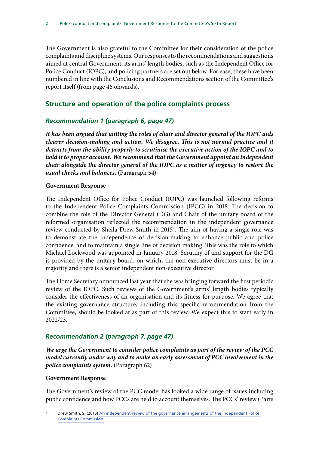The Government is also grateful to the Committee for their consideration of the police complaints and discipline systems. Our responses to the recommendations and suggestions aimed at central Government, its arms' length bodies, such as the Independent Office for Police Conduct (IOPC), and policing partners are set out below. For ease, these have been numbered in line with the Conclusions and Recommendations section of the Committee's report itself (from page 46 onwards).

# **Structure and operation of the police complaints process**

# *Recommendation 1 (paragraph 6, page 47)*

*It has been argued that uniting the roles of chair and director general of the IOPC aids clearer decision-making and action. We disagree. This is not normal practice and it detracts from the ability properly to scrutinise the executive action of the IOPC and to hold it to proper account. We recommend that the Government appoint an independent chair alongside the director general of the IOPC as a matter of urgency to restore the usual checks and balances.* (Paragraph 54)

#### **Government Response**

The Independent Office for Police Conduct (IOPC) was launched following reforms to the Independent Police Complaints Commission (IPCC) in 2018. The decision to combine the role of the Director General (DG) and Chair of the unitary board of the reformed organisation reflected the recommendation in the independent governance review conducted by Sheila Drew Smith in 2015<sup>1</sup>. The aim of having a single role was to demonstrate the independence of decision-making to enhance public and police confidence, and to maintain a single line of decision making. This was the role to which Michael Lockwood was appointed in January 2018. Scrutiny of and support for the DG is provided by the unitary board, on which, the non-executive directors must be in a majority and there is a senior independent non-executive director.

The Home Secretary announced last year that she was bringing forward the first periodic review of the IOPC. Such reviews of the Government's arms' length bodies typically consider the effectiveness of an organisation and its fitness for purpose. We agree that the existing governance structure, including this specific recommendation from the Committee, should be looked at as part of this review. We expect this to start early in 2022/23.

# *Recommendation 2 (paragraph 7, page 47)*

*We urge the Government to consider police complaints as part of the review of the PCC model currently under way and to make an early assessment of PCC involvement in the police complaints system.* (Paragraph 62)

#### **Government Response**

The Government's review of the PCC model has looked a wide range of issues including public confidence and how PCCs are held to account themselves. The PCCs' review (Parts

Drew Smith, S. (2015) An independent review of the governance arrangements of the Independent Police [Complaints Commission.](https://assets.publishing.service.gov.uk/government/uploads/system/uploads/attachment_data/file/486702/20151215-Independent_review_of_IPCC_governance-WEB-UK_O.pdf)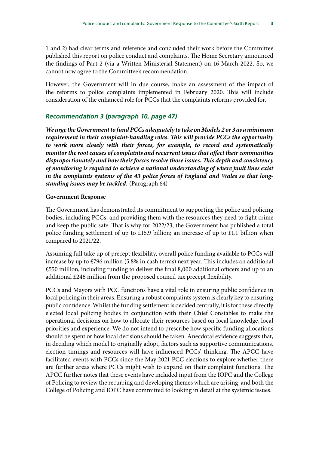1 and 2) had clear terms and reference and concluded their work before the Committee published this report on police conduct and complaints. The Home Secretary announced the findings of Part 2 (via a Written Ministerial Statement) on 16 March 2022. So, we cannot now agree to the Committee's recommendation.

However, the Government will in due course, make an assessment of the impact of the reforms to police complaints implemented in February 2020. This will include consideration of the enhanced role for PCCs that the complaints reforms provided for.

#### *Recommendation 3 (paragraph 10, page 47)*

*We urge the Government to fund PCCs adequately to take on Models 2 or 3 as a minimum requirement in their complaint-handling roles. This will provide PCCs the opportunity to work more closely with their forces, for example, to record and systematically monitor the root causes of complaints and recurrent issues that affect their communities disproportionately and how their forces resolve those issues. This depth and consistency of monitoring is required to achieve a national understanding of where fault lines exist in the complaints systems of the 43 police forces of England and Wales so that longstanding issues may be tackled.* (Paragraph 64)

#### **Government Response**

The Government has demonstrated its commitment to supporting the police and policing bodies, including PCCs, and providing them with the resources they need to fight crime and keep the public safe. That is why for 2022/23, the Government has published a total police funding settlement of up to £16.9 billion; an increase of up to £1.1 billion when compared to 2021/22.

Assuming full take up of precept flexibility, overall police funding available to PCCs will increase by up to £796 million (5.8% in cash terms) next year. This includes an additional £550 million, including funding to deliver the final 8,000 additional officers and up to an additional £246 million from the proposed council tax precept flexibility.

PCCs and Mayors with PCC functions have a vital role in ensuring public confidence in local policing in their areas. Ensuring a robust complaints system is clearly key to ensuring public confidence. Whilst the funding settlement is decided centrally, it is for these directly elected local policing bodies in conjunction with their Chief Constables to make the operational decisions on how to allocate their resources based on local knowledge, local priorities and experience. We do not intend to prescribe how specific funding allocations should be spent or how local decisions should be taken. Anecdotal evidence suggests that, in deciding which model to originally adopt, factors such as supportive communications, election timings and resources will have influenced PCCs' thinking. The APCC have facilitated events with PCCs since the May 2021 PCC elections to explore whether there are further areas where PCCs might wish to expand on their complaint functions. The APCC further notes that these events have included input from the IOPC and the College of Policing to review the recurring and developing themes which are arising, and both the College of Policing and IOPC have committed to looking in detail at the systemic issues.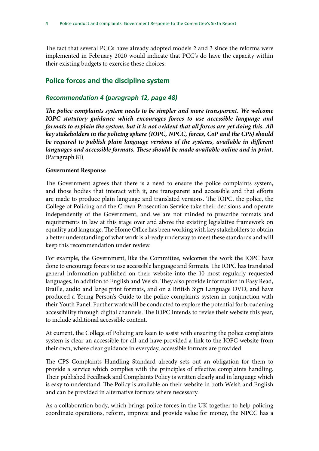The fact that several PCCs have already adopted models 2 and 3 since the reforms were implemented in February 2020 would indicate that PCC's do have the capacity within their existing budgets to exercise these choices.

# **Police forces and the discipline system**

## *Recommendation 4 (paragraph 12, page 48)*

*The police complaints system needs to be simpler and more transparent. We welcome IOPC statutory guidance which encourages forces to use accessible language and formats to explain the system, but it is not evident that all forces are yet doing this. All key stakeholders in the policing sphere (IOPC, NPCC, forces, CoP and the CPS) should*  be required to publish plain language versions of the systems, available in different *languages and accessible formats. These should be made available online and in print.* (Paragraph 81)

#### **Government Response**

The Government agrees that there is a need to ensure the police complaints system, and those bodies that interact with it, are transparent and accessible and that efforts are made to produce plain language and translated versions. The IOPC, the police, the College of Policing and the Crown Prosecution Service take their decisions and operate independently of the Government, and we are not minded to prescribe formats and requirements in law at this stage over and above the existing legislative framework on equality and language. The Home Office has been working with key stakeholders to obtain a better understanding of what work is already underway to meet these standards and will keep this recommendation under review.

For example, the Government, like the Committee, welcomes the work the IOPC have done to encourage forces to use accessible language and formats. The IOPC has translated general information published on their website into the 10 most regularly requested languages, in addition to English and Welsh. They also provide information in Easy Read, Braille, audio and large print formats, and on a British Sign Language DVD, and have produced a Young Person's Guide to the police complaints system in conjunction with their Youth Panel. Further work will be conducted to explore the potential for broadening accessibility through digital channels. The IOPC intends to revise their website this year, to include additional accessible content.

At current, the College of Policing are keen to assist with ensuring the police complaints system is clear an accessible for all and have provided a link to the IOPC website from their own, where clear guidance in everyday, accessible formats are provided.

The CPS Complaints Handling Standard already sets out an obligation for them to provide a service which complies with the principles of effective complaints handling. Their published Feedback and Complaints Policy is written clearly and in language which is easy to understand. The Policy is available on their website in both Welsh and English and can be provided in alternative formats where necessary.

As a collaboration body, which brings police forces in the UK together to help policing coordinate operations, reform, improve and provide value for money, the NPCC has a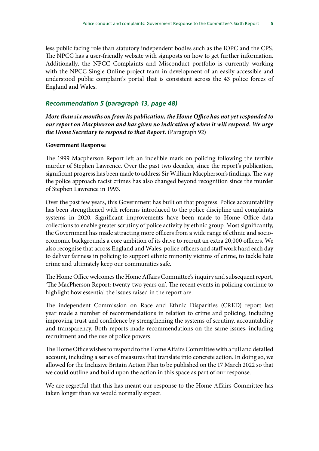less public facing role than statutory independent bodies such as the IOPC and the CPS. The NPCC has a user-friendly website with signposts on how to get further information. Additionally, the NPCC Complaints and Misconduct portfolio is currently working with the NPCC Single Online project team in development of an easily accessible and understood public complaint's portal that is consistent across the 43 police forces of England and Wales.

#### *Recommendation 5 (paragraph 13, page 48)*

*More than six months on from its publication, the Home Office has not yet responded to our report on Macpherson and has given no indication of when it will respond. We urge the Home Secretary to respond to that Report.* (Paragraph 92)

#### **Government Response**

The 1999 Macpherson Report left an indelible mark on policing following the terrible murder of Stephen Lawrence. Over the past two decades, since the report's publication, significant progress has been made to address Sir William Macpherson's findings. The way the police approach racist crimes has also changed beyond recognition since the murder of Stephen Lawrence in 1993.

Over the past few years, this Government has built on that progress. Police accountability has been strengthened with reforms introduced to the police discipline and complaints systems in 2020. Significant improvements have been made to Home Office data collections to enable greater scrutiny of police activity by ethnic group. Most significantly, the Government has made attracting more officers from a wide range of ethnic and socioeconomic backgrounds a core ambition of its drive to recruit an extra 20,000 officers. We also recognise that across England and Wales, police officers and staff work hard each day to deliver fairness in policing to support ethnic minority victims of crime, to tackle hate crime and ultimately keep our communities safe.

The Home Office welcomes the Home Affairs Committee's inquiry and subsequent report, 'The MacPherson Report: twenty-two years on'. The recent events in policing continue to highlight how essential the issues raised in the report are.

The independent Commission on Race and Ethnic Disparities (CRED) report last year made a number of recommendations in relation to crime and policing, including improving trust and confidence by strengthening the systems of scrutiny, accountability and transparency. Both reports made recommendations on the same issues, including recruitment and the use of police powers.

The Home Office wishes to respond to the Home Affairs Committee with a full and detailed account, including a series of measures that translate into concrete action. In doing so, we allowed for the Inclusive Britain Action Plan to be published on the 17 March 2022 so that we could outline and build upon the action in this space as part of our response.

We are regretful that this has meant our response to the Home Affairs Committee has taken longer than we would normally expect.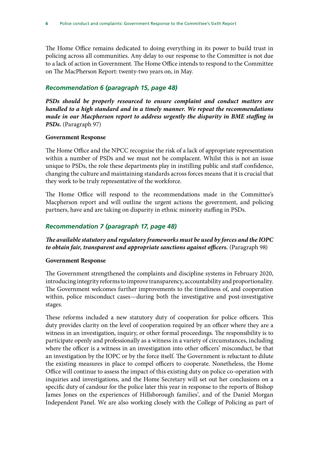The Home Office remains dedicated to doing everything in its power to build trust in policing across all communities. Any delay to our response to the Committee is not due to a lack of action in Government. The Home Office intends to respond to the Committee on The MacPherson Report: twenty-two years on, in May.

## *Recommendation 6 (paragraph 15, page 48)*

PSDs should be properly resourced to ensure complaint and conduct matters are *handled to a high standard and in a timely manner. We repeat the recommendations made in our Macpherson report to address urgently the disparity in BME staffing in PSDs.* (Paragraph 97)

#### **Government Response**

The Home Office and the NPCC recognise the risk of a lack of appropriate representation within a number of PSDs and we must not be complacent. Whilst this is not an issue unique to PSDs, the role these departments play in instilling public and staff confidence, changing the culture and maintaining standards across forces means that it is crucial that they work to be truly representative of the workforce.

The Home Office will respond to the recommendations made in the Committee's Macpherson report and will outline the urgent actions the government, and policing partners, have and are taking on disparity in ethnic minority staffing in PSDs.

# *Recommendation 7 (paragraph 17, page 48)*

# *The available statutory and regulatory frameworks must be used by forces and the IOPC to obtain fair, transparent and appropriate sanctions against officers.* (Paragraph 98)

#### **Government Response**

The Government strengthened the complaints and discipline systems in February 2020, introducing integrity reforms to improve transparency, accountability and proportionality. The Government welcomes further improvements to the timeliness of, and cooperation within, police misconduct cases—during both the investigative and post-investigative stages.

These reforms included a new statutory duty of cooperation for police officers. This duty provides clarity on the level of cooperation required by an officer where they are a witness in an investigation, inquiry, or other formal proceedings. The responsibility is to participate openly and professionally as a witness in a variety of circumstances, including where the officer is a witness in an investigation into other officers' misconduct, be that an investigation by the IOPC or by the force itself. The Government is reluctant to dilute the existing measures in place to compel officers to cooperate. Nonetheless, the Home Office will continue to assess the impact of this existing duty on police co-operation with inquiries and investigations, and the Home Secretary will set out her conclusions on a specific duty of candour for the police later this year in response to the reports of Bishop James Jones on the experiences of Hillsborough families', and of the Daniel Morgan Independent Panel. We are also working closely with the College of Policing as part of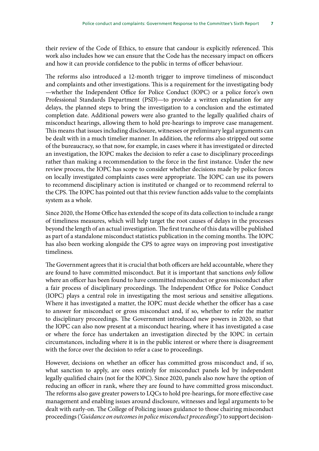their review of the Code of Ethics, to ensure that candour is explicitly referenced. This work also includes how we can ensure that the Code has the necessary impact on officers and how it can provide confidence to the public in terms of officer behaviour.

The reforms also introduced a 12-month trigger to improve timeliness of misconduct and complaints and other investigations. This is a requirement for the investigating body —whether the Independent Office for Police Conduct (IOPC) or a police force's own Professional Standards Department (PSD)—to provide a written explanation for any delays, the planned steps to bring the investigation to a conclusion and the estimated completion date. Additional powers were also granted to the legally qualified chairs of misconduct hearings, allowing them to hold pre-hearings to improve case management. This means that issues including disclosure, witnesses or preliminary legal arguments can be dealt with in a much timelier manner. In addition, the reforms also stripped out some of the bureaucracy, so that now, for example, in cases where it has investigated or directed an investigation, the IOPC makes the decision to refer a case to disciplinary proceedings rather than making a recommendation to the force in the first instance. Under the new review process, the IOPC has scope to consider whether decisions made by police forces on locally investigated complaints cases were appropriate. The IOPC can use its powers to recommend disciplinary action is instituted or changed or to recommend referral to the CPS. The IOPC has pointed out that this review function adds value to the complaints system as a whole.

Since 2020, the Home Office has extended the scope of its data collection to include a range of timeliness measures, which will help target the root causes of delays in the processes beyond the length of an actual investigation. The first tranche of this data will be published as part of a standalone misconduct statistics publication in the coming months. The IOPC has also been working alongside the CPS to agree ways on improving post investigative timeliness.

The Government agrees that it is crucial that both officers are held accountable, where they are found to have committed misconduct. But it is important that sanctions *only* follow where an officer has been found to have committed misconduct or gross misconduct after a fair process of disciplinary proceedings. The Independent Office for Police Conduct (IOPC) plays a central role in investigating the most serious and sensitive allegations. Where it has investigated a matter, the IOPC must decide whether the officer has a case to answer for misconduct or gross misconduct and, if so, whether to refer the matter to disciplinary proceedings. The Government introduced new powers in 2020, so that the IOPC can also now present at a misconduct hearing, where it has investigated a case or where the force has undertaken an investigation directed by the IOPC in certain circumstances, including where it is in the public interest or where there is disagreement with the force over the decision to refer a case to proceedings.

However, decisions on whether an officer has committed gross misconduct and, if so, what sanction to apply, are ones entirely for misconduct panels led by independent legally qualified chairs (not for the IOPC). Since 2020, panels also now have the option of reducing an officer in rank, where they are found to have committed gross misconduct. The reforms also gave greater powers to LQCs to hold pre-hearings, for more effective case management and enabling issues around disclosure, witnesses and legal arguments to be dealt with early-on. The College of Policing issues guidance to those chairing misconduct proceedings ('*Guidance on outcomes in police misconduct proceedings*') to support decision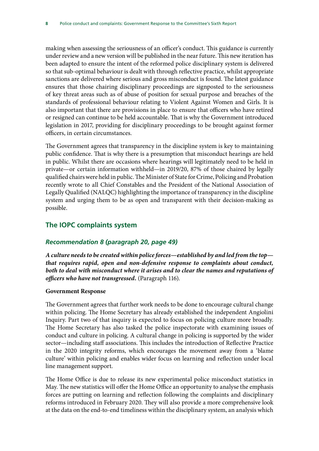making when assessing the seriousness of an officer's conduct. This guidance is currently under review and a new version will be published in the near future. This new iteration has been adapted to ensure the intent of the reformed police disciplinary system is delivered so that sub-optimal behaviour is dealt with through reflective practice, whilst appropriate sanctions are delivered where serious and gross misconduct is found. The latest guidance ensures that those chairing disciplinary proceedings are signposted to the seriousness of key threat areas such as of abuse of position for sexual purpose and breaches of the standards of professional behaviour relating to Violent Against Women and Girls. It is also important that there are provisions in place to ensure that officers who have retired or resigned can continue to be held accountable. That is why the Government introduced legislation in 2017, providing for disciplinary proceedings to be brought against former officers, in certain circumstances.

The Government agrees that transparency in the discipline system is key to maintaining public confidence. That is why there is a presumption that misconduct hearings are held in public. Whilst there are occasions where hearings will legitimately need to be held in private—or certain information withheld—in 2019/20, 87% of those chaired by legally qualified chairs were held in public. The Minister of State for Crime, Policing and Probation recently wrote to all Chief Constables and the President of the National Association of Legally Qualified (NALQC) highlighting the importance of transparency in the discipline system and urging them to be as open and transparent with their decision-making as possible.

# **The IOPC complaints system**

# *Recommendation 8 (paragraph 20, page 49)*

*A culture needs to be created within police forces—established by and led from the top that requires rapid, open and non-defensive response to complaints about conduct, both to deal with misconduct where it arises and to clear the names and reputations of officers who have not transgressed.* (Paragraph 116).

#### **Government Response**

The Government agrees that further work needs to be done to encourage cultural change within policing. The Home Secretary has already established the independent Angiolini Inquiry. Part two of that inquiry is expected to focus on policing culture more broadly. The Home Secretary has also tasked the police inspectorate with examining issues of conduct and culture in policing. A cultural change in policing is supported by the wider sector—including staff associations. This includes the introduction of Reflective Practice in the 2020 integrity reforms, which encourages the movement away from a 'blame culture' within policing and enables wider focus on learning and reflection under local line management support.

The Home Office is due to release its new experimental police misconduct statistics in May. The new statistics will offer the Home Office an opportunity to analyse the emphasis forces are putting on learning and reflection following the complaints and disciplinary reforms introduced in February 2020. They will also provide a more comprehensive look at the data on the end-to-end timeliness within the disciplinary system, an analysis which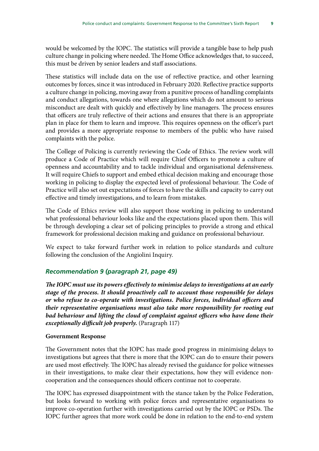would be welcomed by the IOPC. The statistics will provide a tangible base to help push culture change in policing where needed. The Home Office acknowledges that, to succeed, this must be driven by senior leaders and staff associations.

These statistics will include data on the use of reflective practice, and other learning outcomes by forces, since it was introduced in February 2020. Reflective practice supports a culture change in policing, moving away from a punitive process of handling complaints and conduct allegations, towards one where allegations which do not amount to serious misconduct are dealt with quickly and effectively by line managers. The process ensures that officers are truly reflective of their actions and ensures that there is an appropriate plan in place for them to learn and improve. This requires openness on the officer's part and provides a more appropriate response to members of the public who have raised complaints with the police.

The College of Policing is currently reviewing the Code of Ethics. The review work will produce a Code of Practice which will require Chief Officers to promote a culture of openness and accountability and to tackle individual and organisational defensiveness. It will require Chiefs to support and embed ethical decision making and encourage those working in policing to display the expected level of professional behaviour. The Code of Practice will also set out expectations of forces to have the skills and capacity to carry out effective and timely investigations, and to learn from mistakes.

The Code of Ethics review will also support those working in policing to understand what professional behaviour looks like and the expectations placed upon them. This will be through developing a clear set of policing principles to provide a strong and ethical framework for professional decision making and guidance on professional behaviour.

We expect to take forward further work in relation to police standards and culture following the conclusion of the Angiolini Inquiry.

#### *Recommendation 9 (paragraph 21, page 49)*

*The IOPC must use its powers effectively to minimise delays to investigations at an early stage of the process. It should proactively call to account those responsible for delays or who refuse to co-operate with investigations. Police forces, individual officers and their representative organisations must also take more responsibility for rooting out*  bad behaviour and lifting the cloud of complaint against officers who have done their *exceptionally difficult job properly.* (Paragraph 117)

#### **Government Response**

The Government notes that the IOPC has made good progress in minimising delays to investigations but agrees that there is more that the IOPC can do to ensure their powers are used most effectively. The IOPC has already revised the guidance for police witnesses in their investigations, to make clear their expectations, how they will evidence noncooperation and the consequences should officers continue not to cooperate.

The IOPC has expressed disappointment with the stance taken by the Police Federation, but looks forward to working with police forces and representative organisations to improve co-operation further with investigations carried out by the IOPC or PSDs. The IOPC further agrees that more work could be done in relation to the end-to-end system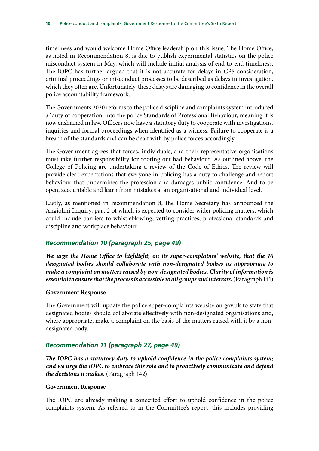timeliness and would welcome Home Office leadership on this issue. The Home Office, as noted in Recommendation 8, is due to publish experimental statistics on the police misconduct system in May, which will include initial analysis of end-to-end timeliness. The IOPC has further argued that it is not accurate for delays in CPS consideration, criminal proceedings or misconduct processes to be described as delays in investigation, which they often are. Unfortunately, these delays are damaging to confidence in the overall police accountability framework.

The Governments 2020 reforms to the police discipline and complaints system introduced a 'duty of cooperation' into the police Standards of Professional Behaviour, meaning it is now enshrined in law. Officers now have a statutory duty to cooperate with investigations, inquiries and formal proceedings when identified as a witness. Failure to cooperate is a breach of the standards and can be dealt with by police forces accordingly.

The Government agrees that forces, individuals, and their representative organisations must take further responsibility for rooting out bad behaviour. As outlined above, the College of Policing are undertaking a review of the Code of Ethics. The review will provide clear expectations that everyone in policing has a duty to challenge and report behaviour that undermines the profession and damages public confidence. And to be open, accountable and learn from mistakes at an organisational and individual level.

Lastly, as mentioned in recommendation 8, the Home Secretary has announced the Angiolini Inquiry, part 2 of which is expected to consider wider policing matters, which could include barriers to whistleblowing, vetting practices, professional standards and discipline and workplace behaviour.

#### *Recommendation 10 (paragraph 25, page 49)*

*We urge the Home Office to highlight, on its super-complaints' website, that the 16 designated bodies should collaborate with non-designated bodies as appropriate to make a complaint on matters raised by non-designated bodies. Clarity of information is essential to ensure that the process is accessible to all groups and interests.* (Paragraph 141)

#### **Government Response**

The Government will update the police super-complaints website on gov.uk to state that designated bodies should collaborate effectively with non-designated organisations and, where appropriate, make a complaint on the basis of the matters raised with it by a nondesignated body.

#### *Recommendation 11 (paragraph 27, page 49)*

*The IOPC has a statutory duty to uphold confidence in the police complaints system; and we urge the IOPC to embrace this role and to proactively communicate and defend the decisions it makes.* (Paragraph 142)

#### **Government Response**

The IOPC are already making a concerted effort to uphold confidence in the police complaints system. As referred to in the Committee's report, this includes providing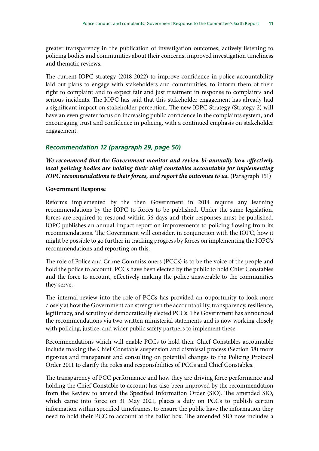greater transparency in the publication of investigation outcomes, actively listening to policing bodies and communities about their concerns, improved investigation timeliness and thematic reviews.

The current IOPC strategy (2018-2022) to improve confidence in police accountability laid out plans to engage with stakeholders and communities, to inform them of their right to complaint and to expect fair and just treatment in response to complaints and serious incidents. The IOPC has said that this stakeholder engagement has already had a significant impact on stakeholder perception. The new IOPC Strategy (Strategy 2) will have an even greater focus on increasing public confidence in the complaints system, and encouraging trust and confidence in policing, with a continued emphasis on stakeholder engagement.

# *Recommendation 12 (paragraph 29, page 50)*

*We recommend that the Government monitor and review bi-annually how effectively local policing bodies are holding their chief constables accountable for implementing IOPC recommendations to their forces, and report the outcomes to us.* (Paragraph 151)

#### **Government Response**

Reforms implemented by the then Government in 2014 require any learning recommendations by the IOPC to forces to be published. Under the same legislation, forces are required to respond within 56 days and their responses must be published. IOPC publishes an annual impact report on improvements to policing flowing from its recommendations. The Government will consider, in conjunction with the IOPC, how it might be possible to go further in tracking progress by forces on implementing the IOPC's recommendations and reporting on this.

The role of Police and Crime Commissioners (PCCs) is to be the voice of the people and hold the police to account. PCCs have been elected by the public to hold Chief Constables and the force to account, effectively making the police answerable to the communities they serve.

The internal review into the role of PCCs has provided an opportunity to look more closely at how the Government can strengthen the accountability, transparency, resilience, legitimacy, and scrutiny of democratically elected PCCs. The Government has announced the recommendations via two written ministerial statements and is now working closely with policing, justice, and wider public safety partners to implement these.

Recommendations which will enable PCCs to hold their Chief Constables accountable include making the Chief Constable suspension and dismissal process (Section 38) more rigorous and transparent and consulting on potential changes to the Policing Protocol Order 2011 to clarify the roles and responsibilities of PCCs and Chief Constables.

The transparency of PCC performance and how they are driving force performance and holding the Chief Constable to account has also been improved by the recommendation from the Review to amend the Specified Information Order (SIO). The amended SIO, which came into force on 31 May 2021, places a duty on PCCs to publish certain information within specified timeframes, to ensure the public have the information they need to hold their PCC to account at the ballot box. The amended SIO now includes a